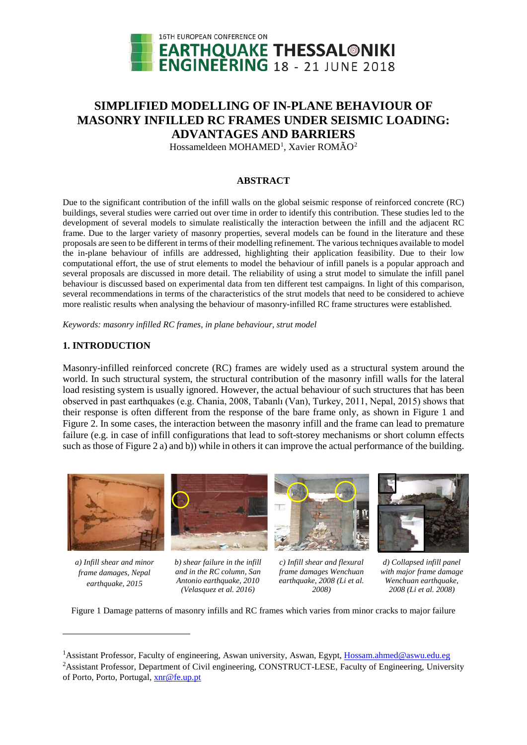

# **SIMPLIFIED MODELLING OF IN-PLANE BEHAVIOUR OF MASONRY INFILLED RC FRAMES UNDER SEISMIC LOADING: ADVANTAGES AND BARRIERS**

Hossameldeen MOHAMED<sup>[1](#page-0-1)</sup>, Xavier ROMÃO<sup>[2](#page-0-2)</sup>

### **ABSTRACT**

Due to the significant contribution of the infill walls on the global seismic response of reinforced concrete (RC) buildings, several studies were carried out over time in order to identify this contribution. These studies led to the development of several models to simulate realistically the interaction between the infill and the adjacent RC frame. Due to the larger variety of masonry properties, several models can be found in the literature and these proposals are seen to be different in terms of their modelling refinement. The various techniques available to model the in-plane behaviour of infills are addressed, highlighting their application feasibility. Due to their low computational effort, the use of strut elements to model the behaviour of infill panels is a popular approach and several proposals are discussed in more detail. The reliability of using a strut model to simulate the infill panel behaviour is discussed based on experimental data from ten different test campaigns. In light of this comparison, several recommendations in terms of the characteristics of the strut models that need to be considered to achieve more realistic results when analysing the behaviour of masonry-infilled RC frame structures were established.

*Keywords: masonry infilled RC frames, in plane behaviour, strut model*

### **1. INTRODUCTION**

Masonry-infilled reinforced concrete (RC) frames are widely used as a structural system around the world. In such structural system, the structural contribution of the masonry infill walls for the lateral load resisting system is usually ignored. However, the actual behaviour of such structures that has been observed in past earthquakes (e.g. Chania, 2008, Tabanlı (Van), Turkey, 2011, Nepal, 2015) shows that their response is often different from the response of the bare frame only, as shown in [Figure 1](#page-0-0) and [Figure 2.](#page-1-0) In some cases, the interaction between the masonry infill and the frame can lead to premature failure (e.g. in case of infill configurations that lead to soft-storey mechanisms or short column effects such as those o[f Figure 2](#page-1-0) a) and b)) while in others it can improve the actual performance of the building.



*a) Infill shear and minor frame damages, Nepal earthquake, 2015*

<u>.</u>

*b) shear failure in the infill and in the RC column, San Antonio earthquake, 2010 (Velasquez et al. 2016)*



*c) Infill shear and flexural frame damages Wenchuan earthquake, 2008 (Li et al. 2008)*



*d) Collapsed infill panel with major frame damage Wenchuan earthquake, 2008 (Li et al. 2008)*

<span id="page-0-0"></span>Figure 1 Damage patterns of masonry infills and RC frames which varies from minor cracks to major failure

<sup>&</sup>lt;sup>1</sup> Assistant Professor, Faculty of engineering, Aswan university, Aswan, Egypt, [Hossam.ahmed@aswu.edu.eg](mailto:Hossam.ahmed@aswu.edu.eg)

<span id="page-0-2"></span><span id="page-0-1"></span><sup>&</sup>lt;sup>2</sup> Assistant Professor, Department of Civil engineering, CONSTRUCT-LESE, Faculty of Engineering, University of Porto, Porto, Portugal, [xnr@fe.up.pt](mailto:xnr@fe.up.pt)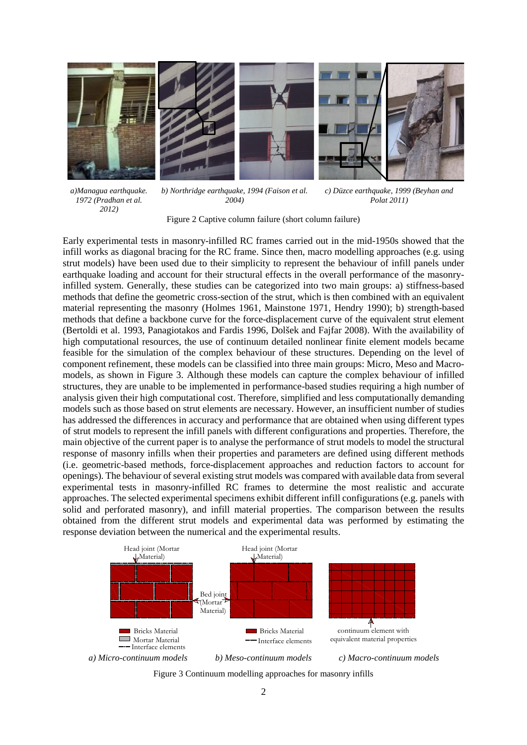

*a)Managua earthquake. 1972 (Pradhan et al. 2012)*

*b) Northridge earthquake, 1994 (Faison et al. 2004)*

*c) Düzce earthquake, 1999 (Beyhan and Polat 2011)*

Figure 2 Captive column failure (short column failure)

<span id="page-1-0"></span>Early experimental tests in masonry-infilled RC frames carried out in the mid-1950s showed that the infill works as diagonal bracing for the RC frame. Since then, macro modelling approaches (e.g. using strut models) have been used due to their simplicity to represent the behaviour of infill panels under earthquake loading and account for their structural effects in the overall performance of the masonryinfilled system. Generally, these studies can be categorized into two main groups: a) stiffness-based methods that define the geometric cross-section of the strut, which is then combined with an equivalent material representing the masonry (Holmes 1961, Mainstone 1971, Hendry 1990); b) strength-based methods that define a backbone curve for the force-displacement curve of the equivalent strut element (Bertoldi et al. 1993, Panagiotakos and Fardis 1996, Dolšek and Fajfar 2008). With the availability of high computational resources, the use of continuum detailed nonlinear finite element models became feasible for the simulation of the complex behaviour of these structures. Depending on the level of component refinement, these models can be classified into three main groups: Micro, Meso and Macromodels, as shown in [Figure 3.](#page-1-1) Although these models can capture the complex behaviour of infilled structures, they are unable to be implemented in performance-based studies requiring a high number of analysis given their high computational cost. Therefore, simplified and less computationally demanding models such as those based on strut elements are necessary. However, an insufficient number of studies has addressed the differences in accuracy and performance that are obtained when using different types of strut models to represent the infill panels with different configurations and properties. Therefore, the main objective of the current paper is to analyse the performance of strut models to model the structural response of masonry infills when their properties and parameters are defined using different methods (i.e. geometric-based methods, force-displacement approaches and reduction factors to account for openings). The behaviour of several existing strut models was compared with available data from several experimental tests in masonry-infilled RC frames to determine the most realistic and accurate approaches. The selected experimental specimens exhibit different infill configurations (e.g. panels with solid and perforated masonry), and infill material properties. The comparison between the results obtained from the different strut models and experimental data was performed by estimating the response deviation between the numerical and the experimental results.



<span id="page-1-1"></span>Figure 3 Continuum modelling approaches for masonry infills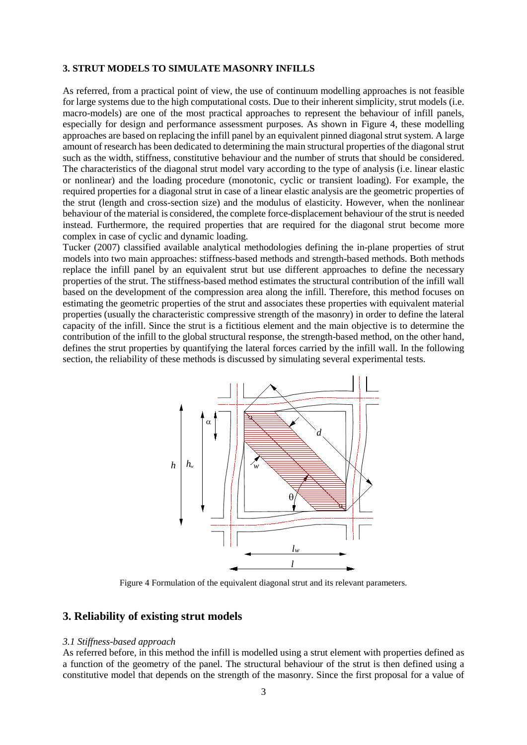#### **3. STRUT MODELS TO SIMULATE MASONRY INFILLS**

As referred, from a practical point of view, the use of continuum modelling approaches is not feasible for large systems due to the high computational costs. Due to their inherent simplicity, strut models (i.e. macro-models) are one of the most practical approaches to represent the behaviour of infill panels, especially for design and performance assessment purposes. As shown in [Figure 4,](#page-2-0) these modelling approaches are based on replacing the infill panel by an equivalent pinned diagonal strut system. A large amount of research has been dedicated to determining the main structural properties of the diagonal strut such as the width, stiffness, constitutive behaviour and the number of struts that should be considered. The characteristics of the diagonal strut model vary according to the type of analysis (i.e. linear elastic or nonlinear) and the loading procedure (monotonic, cyclic or transient loading). For example, the required properties for a diagonal strut in case of a linear elastic analysis are the geometric properties of the strut (length and cross-section size) and the modulus of elasticity. However, when the nonlinear behaviour of the material is considered, the complete force-displacement behaviour of the strut is needed instead. Furthermore, the required properties that are required for the diagonal strut become more complex in case of cyclic and dynamic loading.

Tucker (2007) classified available analytical methodologies defining the in-plane properties of strut models into two main approaches: stiffness-based methods and strength-based methods. Both methods replace the infill panel by an equivalent strut but use different approaches to define the necessary properties of the strut. The stiffness-based method estimates the structural contribution of the infill wall based on the development of the compression area along the infill. Therefore, this method focuses on estimating the geometric properties of the strut and associates these properties with equivalent material properties (usually the characteristic compressive strength of the masonry) in order to define the lateral capacity of the infill. Since the strut is a fictitious element and the main objective is to determine the contribution of the infill to the global structural response, the strength-based method, on the other hand, defines the strut properties by quantifying the lateral forces carried by the infill wall. In the following section, the reliability of these methods is discussed by simulating several experimental tests.



Figure 4 Formulation of the equivalent diagonal strut and its relevant parameters.

## <span id="page-2-0"></span>**3. Reliability of existing strut models**

#### *3.1 Stiffness-based approach*

As referred before, in this method the infill is modelled using a strut element with properties defined as a function of the geometry of the panel. The structural behaviour of the strut is then defined using a constitutive model that depends on the strength of the masonry. Since the first proposal for a value of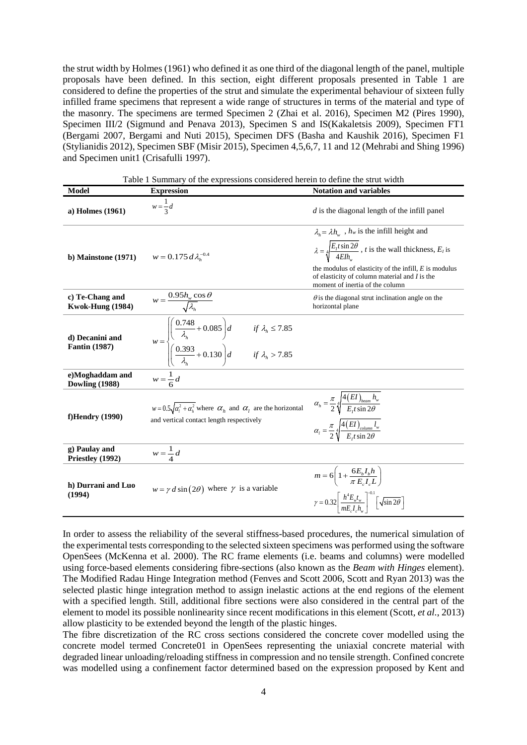the strut width by Holmes (1961) who defined it as one third of the diagonal length of the panel, multiple proposals have been defined. In this section, eight different proposals presented in [Table 1](#page-3-0) are considered to define the properties of the strut and simulate the experimental behaviour of sixteen fully infilled frame specimens that represent a wide range of structures in terms of the material and type of the masonry. The specimens are termed Specimen 2 (Zhai et al. 2016), Specimen M2 (Pires 1990), Specimen III/2 (Sigmund and Penava 2013), Specimen S and IS(Kakaletsis 2009), Specimen FT1 (Bergami 2007, Bergami and Nuti 2015), Specimen DFS (Basha and Kaushik 2016), Specimen F1 (Stylianidis 2012), Specimen SBF (Misir 2015), Specimen 4,5,6,7, 11 and 12 (Mehrabi and Shing 1996) and Specimen unit1 (Crisafulli 1997).

<span id="page-3-0"></span>

| Table 1 Summary of the expressions considered herein to define the strut width |                                                                                                                                                                                              |                                                                                                                                                                                                                                                                                                                                          |
|--------------------------------------------------------------------------------|----------------------------------------------------------------------------------------------------------------------------------------------------------------------------------------------|------------------------------------------------------------------------------------------------------------------------------------------------------------------------------------------------------------------------------------------------------------------------------------------------------------------------------------------|
| <b>Model</b>                                                                   | <b>Expression</b>                                                                                                                                                                            | <b>Notation and variables</b>                                                                                                                                                                                                                                                                                                            |
| a) Holmes (1961)                                                               | $w=\frac{1}{2}d$                                                                                                                                                                             | $d$ is the diagonal length of the infill panel                                                                                                                                                                                                                                                                                           |
| b) Mainstone $(1971)$                                                          | $w = 0.175 d \lambda_{h}^{-0.4}$                                                                                                                                                             | $\lambda_{\mu} = \lambda h_{\mu}$ , $h_{w}$ is the infill height and<br>$\lambda = \sqrt[4]{\frac{E_t t \sin 2\theta}{4Elh}}$ , <i>t</i> is the wall thickness, <i>E<sub>t</sub></i> is<br>the modulus of elasticity of the infill, $E$ is modulus<br>of elasticity of column material and $I$ is the<br>moment of inertia of the column |
| c) Te-Chang and<br><b>Kwok-Hung (1984)</b>                                     | $w = \frac{0.95 h_w \cos \theta}{\sqrt{\lambda_v}}$                                                                                                                                          | $\theta$ is the diagonal strut inclination angle on the<br>horizontal plane                                                                                                                                                                                                                                                              |
| d) Decanini and<br><b>Fantin (1987)</b>                                        | $w = \begin{cases} \left(\frac{0.748}{\lambda_h} + 0.085\right)d & \text{if } \lambda_h \le 7.85 \\ \left(\frac{0.393}{\lambda_h} + 0.130\right)d & \text{if } \lambda_h > 7.85 \end{cases}$ |                                                                                                                                                                                                                                                                                                                                          |
| e)Moghaddam and<br><b>Dowling (1988)</b>                                       | $w = \frac{1}{6}d$                                                                                                                                                                           |                                                                                                                                                                                                                                                                                                                                          |
| <b>f)Hendry</b> (1990)                                                         | $w = 0.5\sqrt{\alpha_i^2 + \alpha_h^2}$ where $\alpha_h$ and $\alpha_l$ are the horizontal<br>and vertical contact length respectively                                                       | $\alpha_h = \frac{\pi}{2} \sqrt[4]{\frac{4(EI)_{beam} h_w}{E.t \sin 2\theta}}$<br>$\alpha_l = \frac{\pi}{2} \sqrt[4]{\frac{4(EI)_{\text{column}}}{F t \sin 2\theta}}$                                                                                                                                                                    |
| g) Paulay and<br>Priestley (1992)                                              | $w = \frac{1}{4}d$                                                                                                                                                                           |                                                                                                                                                                                                                                                                                                                                          |
| h) Durrani and Luo<br>(1994)                                                   | $w = \gamma d \sin(2\theta)$ where $\gamma$ is a variable                                                                                                                                    | $m = 6\left(1 + \frac{6E_bI_bh}{\pi E I I}\right)$<br>$\gamma = 0.32 \left[ \frac{h^4 E_w t_w}{mE I \cdot h} \right]^{-0.1} \left[ \sqrt{\sin 2\theta} \right]$                                                                                                                                                                          |

In order to assess the reliability of the several stiffness-based procedures, the numerical simulation of the experimental tests corresponding to the selected sixteen specimens was performed using the software OpenSees (McKenna et al. 2000). The RC frame elements (i.e. beams and columns) were modelled using force-based elements considering fibre-sections (also known as the *Beam with Hinges* element). The Modified Radau Hinge Integration method (Fenves and Scott 2006, Scott and Ryan 2013) was the selected plastic hinge integration method to assign inelastic actions at the end regions of the element with a specified length. Still, additional fibre sections were also considered in the central part of the element to model its possible nonlinearity since recent modifications in this element (Scott*, et al.*, 2013) allow plasticity to be extended beyond the length of the plastic hinges.

The fibre discretization of the RC cross sections considered the concrete cover modelled using the concrete model termed Concrete01 in OpenSees representing the uniaxial concrete material with degraded linear unloading/reloading stiffness in compression and no tensile strength. Confined concrete was modelled using a confinement factor determined based on the expression proposed by Kent and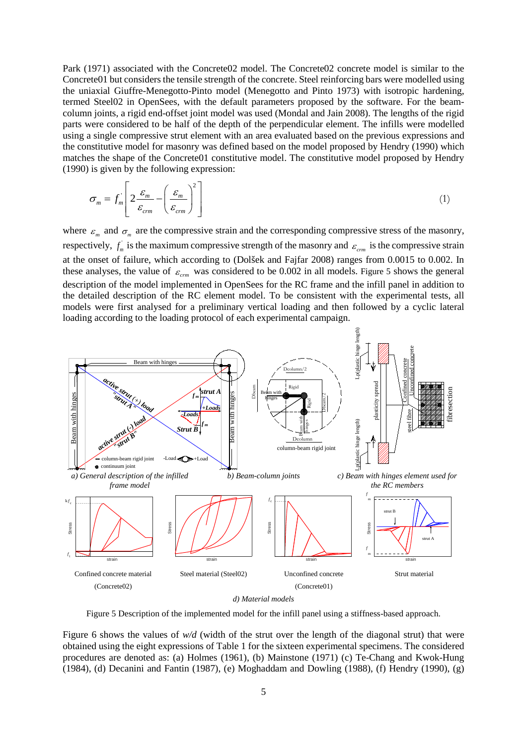Park (1971) associated with the Concrete02 model. The Concrete02 concrete model is similar to the Concrete01 but considers the tensile strength of the concrete. Steel reinforcing bars were modelled using the uniaxial Giuffre-Menegotto-Pinto model (Menegotto and Pinto 1973) with isotropic hardening, termed Steel02 in OpenSees, with the default parameters proposed by the software. For the beamcolumn joints, a rigid end-offset joint model was used (Mondal and Jain 2008). The lengths of the rigid parts were considered to be half of the depth of the perpendicular element. The infills were modelled using a single compressive strut element with an area evaluated based on the previous expressions and the constitutive model for masonry was defined based on the model proposed by Hendry (1990) which matches the shape of the Concrete01 constitutive model. The constitutive model proposed by Hendry (1990) is given by the following expression:

$$
\sigma_m = f_m \left[ 2 \frac{\varepsilon_m}{\varepsilon_{cm}} - \left( \frac{\varepsilon_m}{\varepsilon_{cm}} \right)^2 \right]
$$
 (1)

where  $\varepsilon_m$  and  $\sigma_m$  are the compressive strain and the corresponding compressive stress of the masonry, respectively,  $f_m$  is the maximum compressive strength of the masonry and  $\varepsilon_{cm}$  is the compressive strain at the onset of failure, which according to (Dolšek and Fajfar 2008) ranges from 0.0015 to 0.002. In these analyses, the value of  $\varepsilon_{cm}$  was considered to be 0.002 in all models. [Figure 5](#page-4-0) shows the general description of the model implemented in OpenSees for the RC frame and the infill panel in addition to the detailed description of the RC element model. To be consistent with the experimental tests, all models were first analysed for a preliminary vertical loading and then followed by a cyclic lateral loading according to the loading protocol of each experimental campaign.



<span id="page-4-0"></span>Figure 5 Description of the implemented model for the infill panel using a stiffness-based approach.

[Figure 6](#page-5-0) shows the values of  $w/d$  (width of the strut over the length of the diagonal strut) that were obtained using the eight expressions o[f Table 1](#page-3-0) for the sixteen experimental specimens. The considered procedures are denoted as: (a) Holmes (1961), (b) Mainstone (1971) (c) Te-Chang and Kwok-Hung (1984), (d) Decanini and Fantin (1987), (e) Moghaddam and Dowling (1988), (f) Hendry (1990), (g)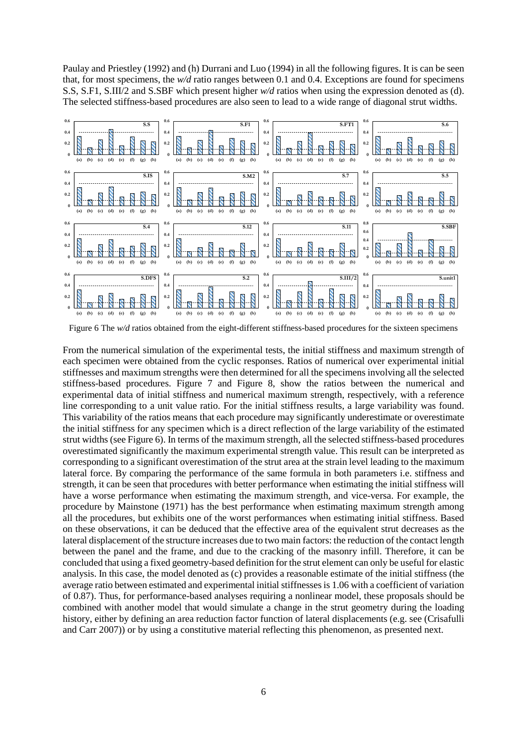Paulay and Priestley (1992) and (h) Durrani and Luo (1994) in all the following figures. It is can be seen that, for most specimens, the *w/d* ratio ranges between 0.1 and 0.4. Exceptions are found for specimens S.S, S.F1, S.III/2 and S.SBF which present higher *w/d* ratios when using the expression denoted as (d). The selected stiffness-based procedures are also seen to lead to a wide range of diagonal strut widths.



<span id="page-5-0"></span>Figure 6 The *w/d* ratios obtained from the eight-different stiffness-based procedures for the sixteen specimens

From the numerical simulation of the experimental tests, the initial stiffness and maximum strength of each specimen were obtained from the cyclic responses. Ratios of numerical over experimental initial stiffnesses and maximum strengths were then determined for all the specimens involving all the selected stiffness-based procedures. [Figure 7](#page-6-0) and [Figure 8,](#page-6-1) show the ratios between the numerical and experimental data of initial stiffness and numerical maximum strength, respectively, with a reference line corresponding to a unit value ratio. For the initial stiffness results, a large variability was found. This variability of the ratios means that each procedure may significantly underestimate or overestimate the initial stiffness for any specimen which is a direct reflection of the large variability of the estimated strut widths (se[e Figure 6\)](#page-5-0). In terms of the maximum strength, all the selected stiffness-based procedures overestimated significantly the maximum experimental strength value. This result can be interpreted as corresponding to a significant overestimation of the strut area at the strain level leading to the maximum lateral force. By comparing the performance of the same formula in both parameters i.e. stiffness and strength, it can be seen that procedures with better performance when estimating the initial stiffness will have a worse performance when estimating the maximum strength, and vice-versa. For example, the procedure by Mainstone (1971) has the best performance when estimating maximum strength among all the procedures, but exhibits one of the worst performances when estimating initial stiffness. Based on these observations, it can be deduced that the effective area of the equivalent strut decreases as the lateral displacement of the structure increases due to two main factors: the reduction of the contact length between the panel and the frame, and due to the cracking of the masonry infill. Therefore, it can be concluded that using a fixed geometry-based definition for the strut element can only be useful for elastic analysis. In this case, the model denoted as (c) provides a reasonable estimate of the initial stiffness (the average ratio between estimated and experimental initial stiffnesses is 1.06 with a coefficient of variation of 0.87). Thus, for performance-based analyses requiring a nonlinear model, these proposals should be combined with another model that would simulate a change in the strut geometry during the loading history, either by defining an area reduction factor function of lateral displacements (e.g. see (Crisafulli and Carr 2007)) or by using a constitutive material reflecting this phenomenon, as presented next.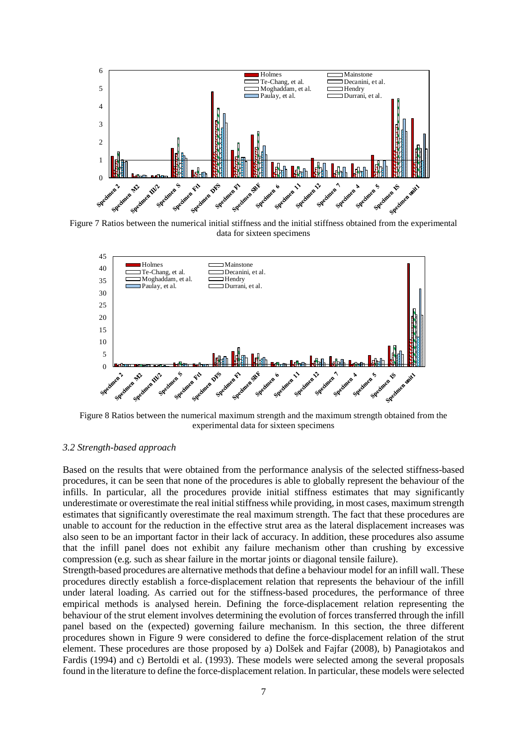

<span id="page-6-0"></span>Figure 7 Ratios between the numerical initial stiffness and the initial stiffness obtained from the experimental data for sixteen specimens



<span id="page-6-1"></span>Figure 8 Ratios between the numerical maximum strength and the maximum strength obtained from the experimental data for sixteen specimens

#### *3.2 Strength-based approach*

Based on the results that were obtained from the performance analysis of the selected stiffness-based procedures, it can be seen that none of the procedures is able to globally represent the behaviour of the infills. In particular, all the procedures provide initial stiffness estimates that may significantly underestimate or overestimate the real initial stiffness while providing, in most cases, maximum strength estimates that significantly overestimate the real maximum strength. The fact that these procedures are unable to account for the reduction in the effective strut area as the lateral displacement increases was also seen to be an important factor in their lack of accuracy. In addition, these procedures also assume that the infill panel does not exhibit any failure mechanism other than crushing by excessive compression (e.g. such as shear failure in the mortar joints or diagonal tensile failure).

Strength-based procedures are alternative methods that define a behaviour model for an infill wall. These procedures directly establish a force-displacement relation that represents the behaviour of the infill under lateral loading. As carried out for the stiffness-based procedures, the performance of three empirical methods is analysed herein. Defining the force-displacement relation representing the behaviour of the strut element involves determining the evolution of forces transferred through the infill panel based on the (expected) governing failure mechanism. In this section, the three different procedures shown in [Figure 9](#page-7-0) were considered to define the force-displacement relation of the strut element. These procedures are those proposed by a) Dolšek and Fajfar (2008), b) Panagiotakos and Fardis (1994) and c) Bertoldi et al. (1993). These models were selected among the several proposals found in the literature to define the force-displacement relation. In particular, these models were selected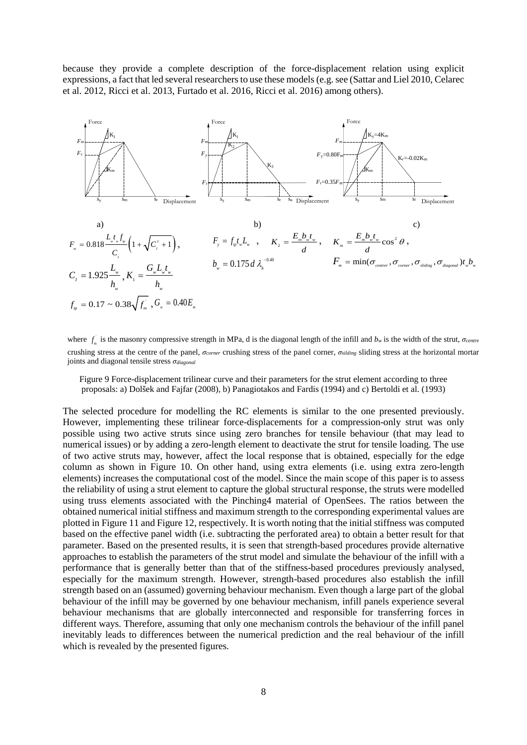because they provide a complete description of the force-displacement relation using explicit expressions, a fact that led several researchers to use these models (e.g. see (Sattar and Liel 2010, Celarec et al. 2012, Ricci et al. 2013, Furtado et al. 2016, Ricci et al. 2016) among others).



where  $f_m$  is the masonry compressive strength in MPa, d is the diagonal length of the infill and  $b_w$  is the width of the strut,  $\sigma_{centre}$ crushing stress at the centre of the panel, *σcorner* crushing stress of the panel corner, *σsilding* sliding stress at the horizontal mortar joints and diagonal tensile stress *σdiagonal*

<span id="page-7-0"></span>Figure 9 Force-displacement trilinear curve and their parameters for the strut element according to three proposals: a) Dolšek and Fajfar (2008), b) Panagiotakos and Fardis (1994) and c) Bertoldi et al. (1993)

The selected procedure for modelling the RC elements is similar to the one presented previously. However, implementing these trilinear force-displacements for a compression-only strut was only possible using two active struts since using zero branches for tensile behaviour (that may lead to numerical issues) or by adding a zero-length element to deactivate the strut for tensile loading. The use of two active struts may, however, affect the local response that is obtained, especially for the edge column as shown in [Figure 10.](#page-8-0) On other hand, using extra elements (i.e. using extra zero-length elements) increases the computational cost of the model. Since the main scope of this paper is to assess the reliability of using a strut element to capture the global structural response, the struts were modelled using truss elements associated with the Pinching4 material of OpenSees. The ratios between the obtained numerical initial stiffness and maximum strength to the corresponding experimental values are plotted in Figure 11 an[d Figure 12,](#page-9-0) respectively. It is worth noting that the initial stiffness was computed based on the effective panel width (i.e. subtracting the perforated area) to obtain a better result for that parameter. Based on the presented results, it is seen that strength-based procedures provide alternative approaches to establish the parameters of the strut model and simulate the behaviour of the infill with a performance that is generally better than that of the stiffness-based procedures previously analysed, especially for the maximum strength. However, strength-based procedures also establish the infill strength based on an (assumed) governing behaviour mechanism. Even though a large part of the global behaviour of the infill may be governed by one behaviour mechanism, infill panels experience several behaviour mechanisms that are globally interconnected and responsible for transferring forces in different ways. Therefore, assuming that only one mechanism controls the behaviour of the infill panel inevitably leads to differences between the numerical prediction and the real behaviour of the infill which is revealed by the presented figures.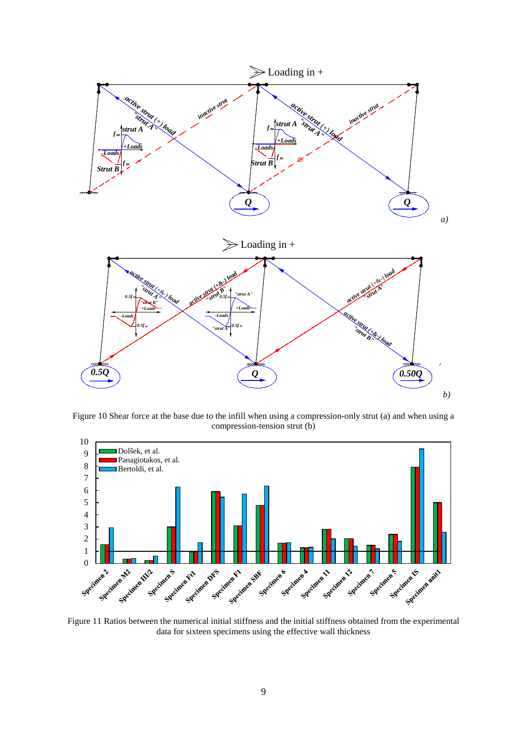

<span id="page-8-0"></span>Figure 10 Shear force at the base due to the infill when using a compression-only strut (a) and when using a compression-tension strut (b)



Figure 11 Ratios between the numerical initial stiffness and the initial stiffness obtained from the experimental data for sixteen specimens using the effective wall thickness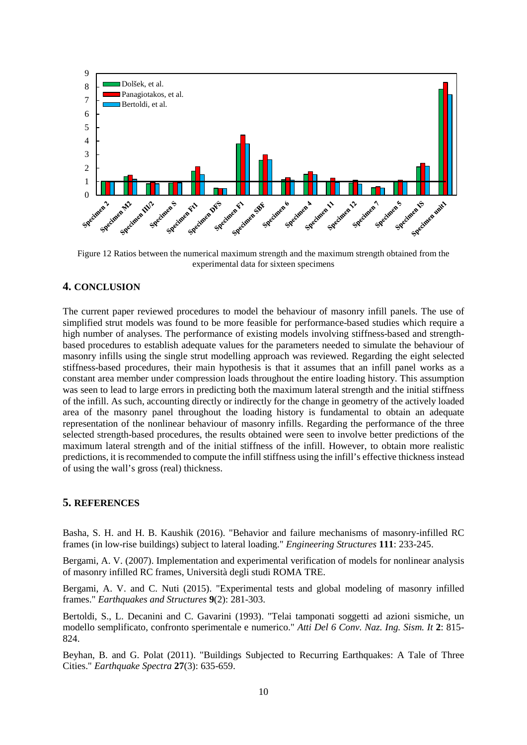

<span id="page-9-0"></span>Figure 12 Ratios between the numerical maximum strength and the maximum strength obtained from the experimental data for sixteen specimens

# **4. CONCLUSION**

The current paper reviewed procedures to model the behaviour of masonry infill panels. The use of simplified strut models was found to be more feasible for performance-based studies which require a high number of analyses. The performance of existing models involving stiffness-based and strengthbased procedures to establish adequate values for the parameters needed to simulate the behaviour of masonry infills using the single strut modelling approach was reviewed. Regarding the eight selected stiffness-based procedures, their main hypothesis is that it assumes that an infill panel works as a constant area member under compression loads throughout the entire loading history. This assumption was seen to lead to large errors in predicting both the maximum lateral strength and the initial stiffness of the infill. As such, accounting directly or indirectly for the change in geometry of the actively loaded area of the masonry panel throughout the loading history is fundamental to obtain an adequate representation of the nonlinear behaviour of masonry infills. Regarding the performance of the three selected strength-based procedures, the results obtained were seen to involve better predictions of the maximum lateral strength and of the initial stiffness of the infill. However, to obtain more realistic predictions, it is recommended to compute the infill stiffness using the infill's effective thickness instead of using the wall's gross (real) thickness.

#### **5. REFERENCES**

Basha, S. H. and H. B. Kaushik (2016). "Behavior and failure mechanisms of masonry-infilled RC frames (in low-rise buildings) subject to lateral loading." *Engineering Structures* **111**: 233-245.

Bergami, A. V. (2007). Implementation and experimental verification of models for nonlinear analysis of masonry infilled RC frames, Università degli studi ROMA TRE.

Bergami, A. V. and C. Nuti (2015). "Experimental tests and global modeling of masonry infilled frames." *Earthquakes and Structures* **9**(2): 281-303.

Bertoldi, S., L. Decanini and C. Gavarini (1993). "Telai tamponati soggetti ad azioni sismiche, un modello semplificato, confronto sperimentale e numerico." *Atti Del 6 Conv. Naz. Ing. Sism. It* **2**: 815- 824.

Beyhan, B. and G. Polat (2011). "Buildings Subjected to Recurring Earthquakes: A Tale of Three Cities." *Earthquake Spectra* **27**(3): 635-659.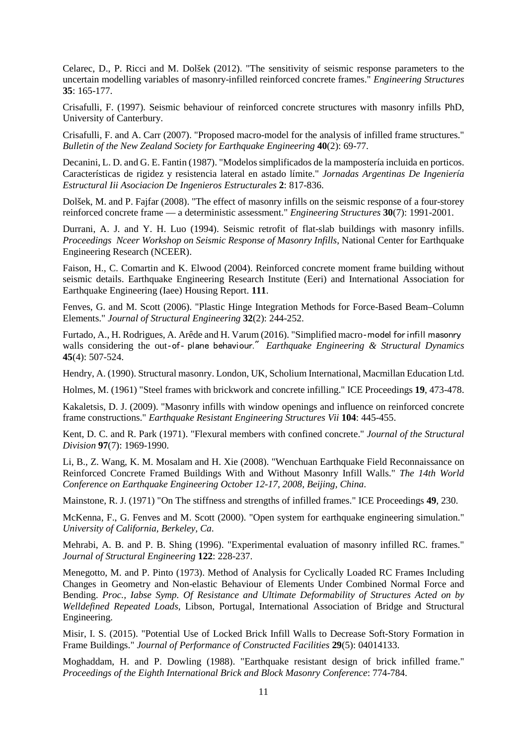Celarec, D., P. Ricci and M. Dolšek (2012). "The sensitivity of seismic response parameters to the uncertain modelling variables of masonry-infilled reinforced concrete frames." *Engineering Structures* **35**: 165-177.

Crisafulli, F. (1997). Seismic behaviour of reinforced concrete structures with masonry infills PhD, University of Canterbury.

Crisafulli, F. and A. Carr (2007). "Proposed macro-model for the analysis of infilled frame structures." *Bulletin of the New Zealand Society for Earthquake Engineering* **40**(2): 69-77.

Decanini, L. D. and G. E. Fantin (1987). "Modelos simplificados de la mampostería incluida en porticos. Características de rigidez y resistencia lateral en astado límite." *Jornadas Argentinas De Ingeniería Estructural Iii Asociacion De Ingenieros Estructurales* **2**: 817-836.

Dolšek, M. and P. Fajfar (2008). "The effect of masonry infills on the seismic response of a four-storey reinforced concrete frame — a deterministic assessment." *Engineering Structures* **30**(7): 1991-2001.

Durrani, A. J. and Y. H. Luo (1994). Seismic retrofit of flat-slab buildings with masonry infills. *Proceedings Nceer Workshop on Seismic Response of Masonry Infills*, National Center for Earthquake Engineering Research (NCEER).

Faison, H., C. Comartin and K. Elwood (2004). Reinforced concrete moment frame building without seismic details. Earthquake Engineering Research Institute (Eeri) and International Association for Earthquake Engineering (Iaee) Housing Report. **111**.

Fenves, G. and M. Scott (2006). "Plastic Hinge Integration Methods for Force-Based Beam–Column Elements." *Journal of Structural Engineering* **32**(2): 244-252.

Furtado, A., H. Rodrigues, A. Arêde and H. Varum (2016). "Simplified macro‐model for infill masonry walls considering the out‐of‐ plane behaviour." *Earthquake Engineering & Structural Dynamics* **45**(4): 507-524.

Hendry, A. (1990). Structural masonry. London, UK, Scholium International, Macmillan Education Ltd.

Holmes, M. (1961) "Steel frames with brickwork and concrete infilling." ICE Proceedings **19**, 473-478.

Kakaletsis, D. J. (2009). "Masonry infills with window openings and influence on reinforced concrete frame constructions." *Earthquake Resistant Engineering Structures Vii* **104**: 445-455.

Kent, D. C. and R. Park (1971). "Flexural members with confined concrete." *Journal of the Structural Division* **97**(7): 1969-1990.

Li, B., Z. Wang, K. M. Mosalam and H. Xie (2008). "Wenchuan Earthquake Field Reconnaissance on Reinforced Concrete Framed Buildings With and Without Masonry Infill Walls." *The 14th World Conference on Earthquake Engineering October 12-17, 2008, Beijing, China*.

Mainstone, R. J. (1971) "On The stiffness and strengths of infilled frames." ICE Proceedings **49**, 230.

McKenna, F., G. Fenves and M. Scott (2000). "Open system for earthquake engineering simulation." *University of California, Berkeley, Ca*.

Mehrabi, A. B. and P. B. Shing (1996). "Experimental evaluation of masonry infilled RC. frames." *Journal of Structural Engineering* **122**: 228-237.

Menegotto, M. and P. Pinto (1973). Method of Analysis for Cyclically Loaded RC Frames Including Changes in Geometry and Non-elastic Behaviour of Elements Under Combined Normal Force and Bending. *Proc., Iabse Symp. Of Resistance and Ultimate Deformability of Structures Acted on by Welldefined Repeated Loads*, Libson, Portugal, International Association of Bridge and Structural Engineering.

Misir, I. S. (2015). "Potential Use of Locked Brick Infill Walls to Decrease Soft-Story Formation in Frame Buildings." *Journal of Performance of Constructed Facilities* **29**(5): 04014133.

Moghaddam, H. and P. Dowling (1988). "Earthquake resistant design of brick infilled frame." *Proceedings of the Eighth International Brick and Block Masonry Conference*: 774-784.